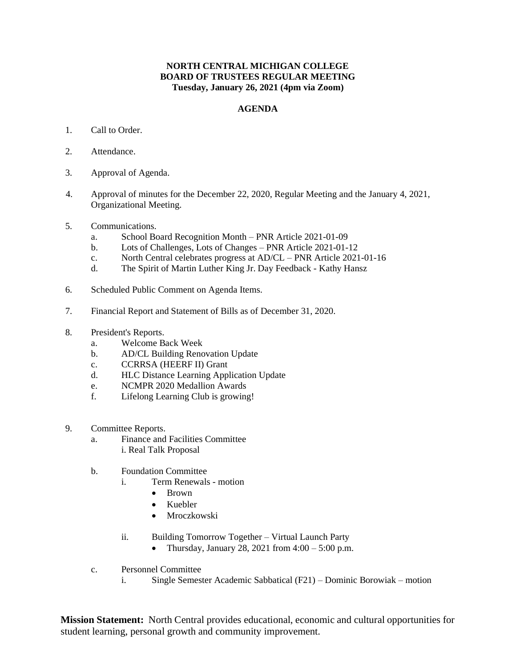## **NORTH CENTRAL MICHIGAN COLLEGE BOARD OF TRUSTEES REGULAR MEETING Tuesday, January 26, 2021 (4pm via Zoom)**

## **AGENDA**

- 1. Call to Order.
- 2. Attendance.
- 3. Approval of Agenda.
- 4. Approval of minutes for the December 22, 2020, Regular Meeting and the January 4, 2021, Organizational Meeting.
- 5. Communications.
	- a. School Board Recognition Month PNR Article 2021-01-09
	- b. Lots of Challenges, Lots of Changes PNR Article 2021-01-12
	- c. North Central celebrates progress at AD/CL PNR Article 2021-01-16
	- d. The Spirit of Martin Luther King Jr. Day Feedback Kathy Hansz
- 6. Scheduled Public Comment on Agenda Items.
- 7. Financial Report and Statement of Bills as of December 31, 2020.
- 8. President's Reports.
	- a. Welcome Back Week
	- b. AD/CL Building Renovation Update
	- c. CCRRSA (HEERF II) Grant
	- d. HLC Distance Learning Application Update
	- e. NCMPR 2020 Medallion Awards
	- f. Lifelong Learning Club is growing!
- 9. Committee Reports.
	- a. Finance and Facilities Committee i. Real Talk Proposal
	- b. Foundation Committee
		- i. Term Renewals motion
			- Brown
			- Kuebler
			- Mroczkowski
		- ii. Building Tomorrow Together Virtual Launch Party
			- Thursday, January 28, 2021 from  $4:00 5:00$  p.m.
	- c. Personnel Committee
		- i. Single Semester Academic Sabbatical (F21) Dominic Borowiak motion

**Mission Statement:** North Central provides educational, economic and cultural opportunities for student learning, personal growth and community improvement.